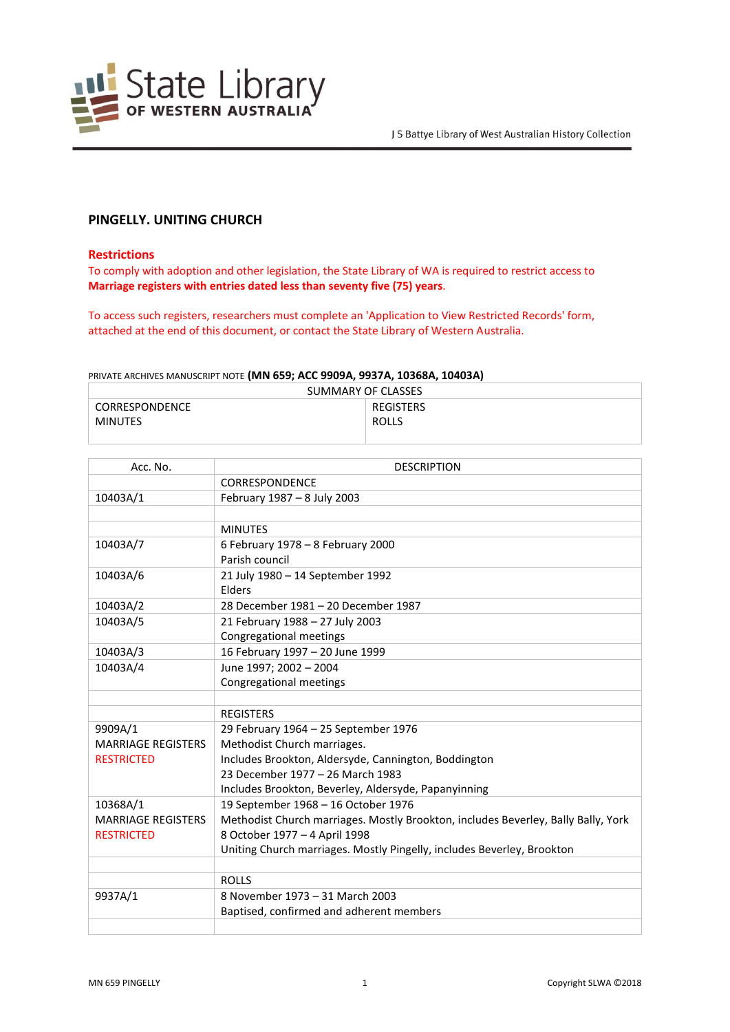

# **PINGELLY. UNITING CHURCH**

#### **Restrictions**

To comply with adoption and other legislation, the State Library of WA is required to restrict access to **Marriage registers with entries dated less than seventy five (75) years**.

To access such registers, researchers must complete an 'Application to View Restricted Records' form, attached at the end of this document, or contact the State Library of Western Australia.

#### PRIVATE ARCHIVES MANUSCRIPT NOTE **(MN 659; ACC 9909A, 9937A, 10368A, 10403A)**

| SUMMARY OF CLASSES |              |  |
|--------------------|--------------|--|
| CORRESPONDENCE     | REGISTERS    |  |
| MINUTES            | <b>ROLLS</b> |  |
|                    |              |  |

| Acc. No.                  | <b>DESCRIPTION</b>                                                                |
|---------------------------|-----------------------------------------------------------------------------------|
|                           | CORRESPONDENCE                                                                    |
| 10403A/1                  | February 1987 - 8 July 2003                                                       |
|                           |                                                                                   |
|                           | <b>MINUTES</b>                                                                    |
| 10403A/7                  | 6 February 1978 - 8 February 2000                                                 |
|                           | Parish council                                                                    |
| 10403A/6                  | 21 July 1980 - 14 September 1992                                                  |
|                           | Elders                                                                            |
| 10403A/2                  | 28 December 1981 - 20 December 1987                                               |
| 10403A/5                  | 21 February 1988 - 27 July 2003                                                   |
|                           | Congregational meetings                                                           |
| 10403A/3                  | 16 February 1997 - 20 June 1999                                                   |
| 10403A/4                  | June 1997; 2002 - 2004                                                            |
|                           | <b>Congregational meetings</b>                                                    |
|                           |                                                                                   |
|                           | <b>REGISTERS</b>                                                                  |
| 9909A/1                   | 29 February 1964 - 25 September 1976                                              |
| <b>MARRIAGE REGISTERS</b> | Methodist Church marriages.                                                       |
| <b>RESTRICTED</b>         | Includes Brookton, Aldersyde, Cannington, Boddington                              |
|                           | 23 December 1977 - 26 March 1983                                                  |
|                           | Includes Brookton, Beverley, Aldersyde, Papanyinning                              |
| 10368A/1                  | 19 September 1968 - 16 October 1976                                               |
| <b>MARRIAGE REGISTERS</b> | Methodist Church marriages. Mostly Brookton, includes Beverley, Bally Bally, York |
| <b>RESTRICTED</b>         | 8 October 1977 - 4 April 1998                                                     |
|                           | Uniting Church marriages. Mostly Pingelly, includes Beverley, Brookton            |
|                           |                                                                                   |
|                           | <b>ROLLS</b>                                                                      |
| 9937A/1                   | 8 November 1973 - 31 March 2003                                                   |
|                           | Baptised, confirmed and adherent members                                          |
|                           |                                                                                   |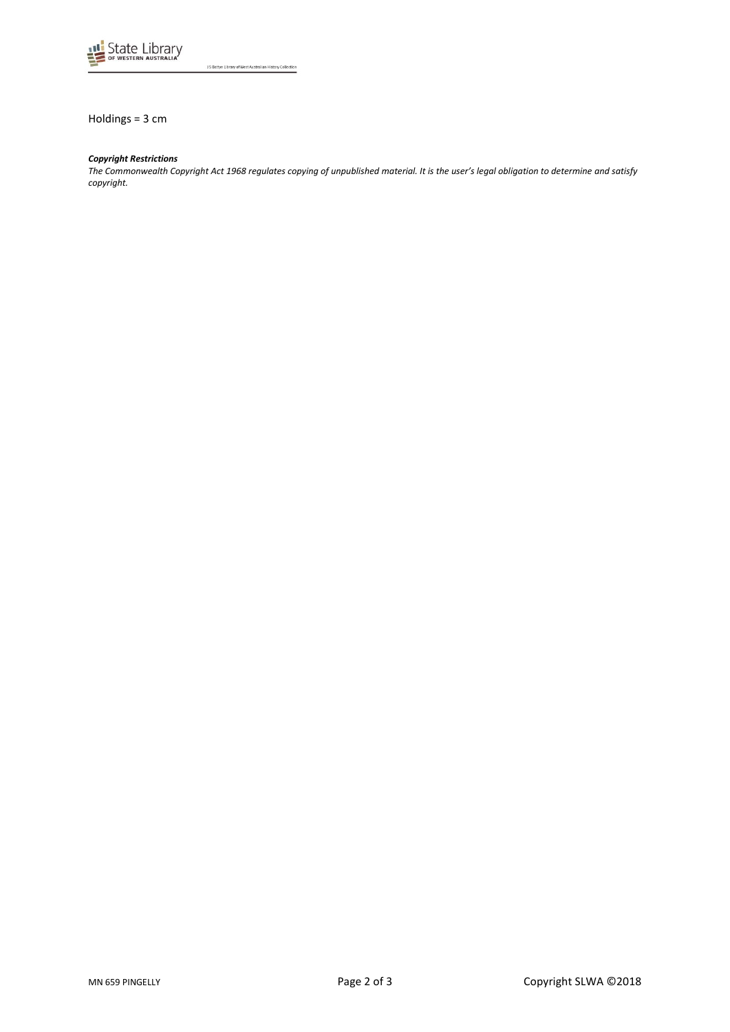

J S Battye Library of West Australian History Collection

Holdings = 3 cm

## *Copyright Restrictions*

*The Commonwealth Copyright Act 1968 regulates copying of unpublished material. It is the user's legal obligation to determine and satisfy copyright.*